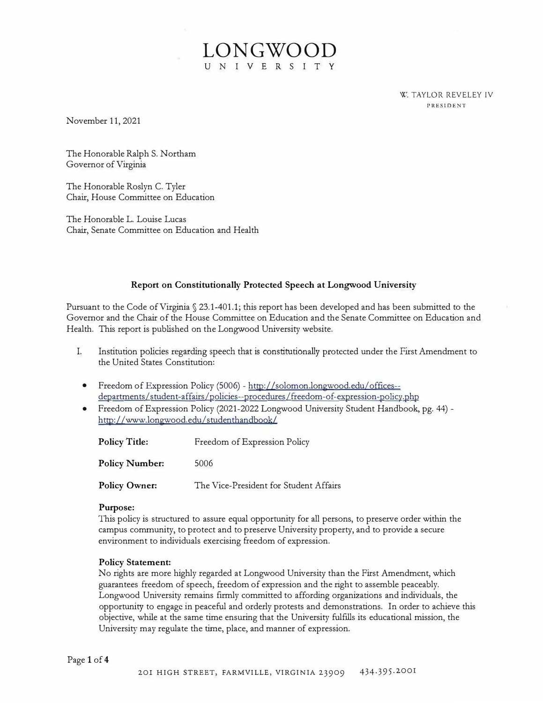W. TAYLOR REVELEY IV PRESIDENT

November 11, 2021

The Honorable Ralph S. Northam Governor of Virginia

The Honorable Roslyn C. Tyler Chair, House Committee on Education

The Honorable L. Louise Lucas Chair, Senate Committee on Education and Health

### **Report on Constitutionally Protected Speech at Longwood University**

LONGWOO

<sup>U</sup> <sup>N</sup> <sup>I</sup> <sup>V</sup> <sup>E</sup> <sup>R</sup> SITY

Pursuant to the Code of Virginia§ 23.1-401.1; this report has been developed and has been submitted to the Governor and the Chair of the House Committee on Education and the Senate Committee on Education and Health. This report is published on the Longwood University website.

- I. Institution policies regarding speech that is constitutionally protected under the First Amendment to the United States Constitution:
	- Freedom of Expression Policy (5006) http://solomon.longwood.edu/offices-departments/student-affairs /policies--procedures /freedom-of-expression-policy. php
	- Freedom of Expression Policy (2021-2022 Longwood University Student Handbook, pg. 44) http://www.longwood.edu/studenthandbook/

| <b>Policy Title:</b>  | Freedom of Expression Policy           |
|-----------------------|----------------------------------------|
| <b>Policy Number:</b> | 5006                                   |
| <b>Policy Owner:</b>  | The Vice-President for Student Affairs |

#### **Purpose:**

This policy is structured to assure equal opportunity for all persons, to preserve order within the campus community, to protect and to preserve University property, and to provide a secure environment to individuals exercising freedom of expression.

#### **Policy Statement:**

No rights are more highly regarded at Longwood University than the First Amendment, which guarantees freedom of speech, freedom of expression and the right to assemble peaceably. Longwood University remains firmly committed to affording organizations and individuals, the opportunity to engage in peaceful and orderly protests and demonstrations. In order to achieve this objective, while at the same time ensuring that the University fulfills its educational mission, the University may regulate the time, place, and manner of expression.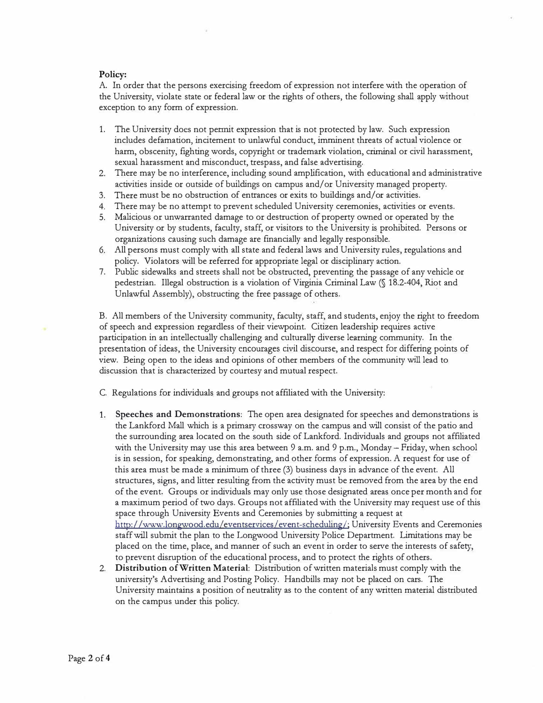## **Policy:**

A. In order that the persons exercising freedom of expression not interfere with the operation of the University, violate state or federal law or the rights of others, the following shall apply without exception to any form of expression.

- 1. The University docs not pennit expression that is not protected by law. Such expression includes defamation, incitement to unlawful conduct, imminent threats of actual violence or harm, obscenity, fighting words, copyright or trademark violation, criminal or civil harassment, sexual harassment and misconduct, trespass, and false advertising.
- 2. There may be no interference, including sound amplification, with educational and administrative activities inside or outside of buildings on campus and/or University managed property.
- 3. There must be no obstruction of entrances or exits to buildings and/or activities.
- 4. There may be no attempt to prevent scheduled University ceremonies, activities or events.
- 5. Malicious or unwarranted damage to or destruction of property owned or operated by the University or by students, faculty, staff, or visitors to the University is prohibited. Persons or organizations causing such damage are financially and legally responsible.
- 6. All persons must comply with all state and federal laws and University rules, regulations and policy. Violators will be referred for appropriate legal or disciplinary action.
- 7. Public sidewalks and streets shall not be obstructed, preventing the passage of any vehicle or pedestrian. Illegal obstruction is a violation of Virginia Criminal Law(§ 18.2-404, Riot and Unlawful Assembly), obstructing the free passage of others.

B. All members of the University community, faculty, staff, and students, enjoy the right to freedom of speech and expression regardless of their viewpoint. Citizen leadership requires active participation in an intellectually challenging and culturally diverse learning community. In the presentation of ideas, the University encourages civil discourse, and respect for differing points of view. Being open to the ideas and opinions of other members of the community will lead to discussion that is characterized by courtesy and mutual respect.

- C. Regulations for individuals and groups not affiliated with the University:
- 1. **Speeches and Demonstrations:** The open area designated for speeches and demonstrations is the Lankford Mall which is a primary crossway on the campus and will consist of the patio and the surrounding area located on the south side of Lankford. Individuals and groups not affiliated with the University may use this area between 9 a.m. and 9 p.m., Monday - Friday, when school is in session, for speaking, demonstrating, and other forms of expression. A request for use of this area must be made a minimum of three (3) business days in advance of the event. All structures, signs, and litter resulting from the activity must be removed from the area by the end of the event. Groups or individuals may only use those designated areas once per month and for a maximum period of two days. Groups not affiliated with the University may request use of this space through University Events and Ceremonies by submitting a request at http://www.longwood.edu/eventservices/event-scheduling/; University Events and Ceremonies staff will submit the plan to the Longwood University Police Department. Limitations may be placed on the time, place, and manner of such an event in order to serve the interests of safety, to prevent disruption of the educational process, and to protect the rights of others.
- 2. **Distribution of Written Material:** Distribution of written materials must comply with the university's Advertising and Posting Policy. Handbills may not be placed on cars. The University maintains a position of neutrality as to the content of any written material distributed on the campus under this policy.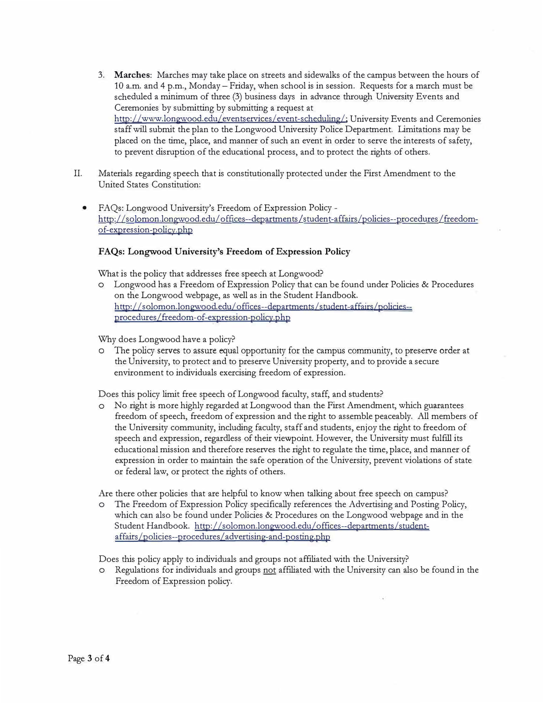- 3. **Marches:** Marches may take place on streets and sidewalks of the campus between the hours of 10 a.m. and 4 p.m., Monday- Friday, when school is in session. Requests for a march must be scheduled a minimum of three (3) business days in advance through University Events and Ceremonies by submitting by submitting a request at http://www.longwood.edu/eventservices/event-scheduling/; University Events and Ceremonies staff will submit the plan to the Longwood University Police Department. Limitations may be placed on the time, place, and manner of such an event in order to serve the interests of safety, to prevent disruption of the educational process, and to protect the rights of others.
- II. Materials regarding speech that is constitutionally protected under the First Amendment to the United States Constitution:
	- FAQs: Longwood University's Freedom of Expression Policyh ttp: //solomon.longwood.edu/ offices--departments /student-affairs /policies--procedures /freedomof-expression-policy.php

# **FAQs: Longwood University's Freedom of Expression Policy**

What is the policy that addresses free speech at Longwood?

o Longwood has a Freedom of Expression Policy that can be found under Policies & Procedures on the Longwood webpage, as well as in the Student Handbook. http://solomon.longwood.edu/offices--departments/student-affairs/policies-procedures/freedom-of-expression-policy. php

Why does Longwood have a policy?

o The policy serves to assure equal opportunity for the campus community, to preserve order at the University, to protect and to preserve University property, and to provide a secure environment to individuals exercising freedom of expression.

Does this policy limit free speech of Longwood faculty, staff, and students?

o No right is more highly regarded at Longwood than the First Amendment, which guarantees freedom of speech, freedom of expression and the right to assemble peaceably. All members of the University community, including faculty, staff and students, enjoy the right to freedom of speech and expression, regardless of their viewpoint. However, the University must fulfill its educational mission and therefore reserves the right to regulate the time, place, and manner of expression in order to maintain the safe operation of the University, prevent violations of state or federal law, or protect the rights of others.

Are there other policies that are helpful to know when talking about free speech on campus?

o The Freedom of Expression Policy specifically references the Advertising and Posting Policy, which can also be found under Policies & Procedures on the Longwood webpage and in the Student Handbook. http://solomon.longwood.edu/offices--departments/studentaffairs /policies--procedures / advertising-and-posting. php

Does this policy apply to individuals and groups not affiliated with the University?

o Regulations for individuals and groups not affiliated with the University can also be found in the Freedom of Expression policy.